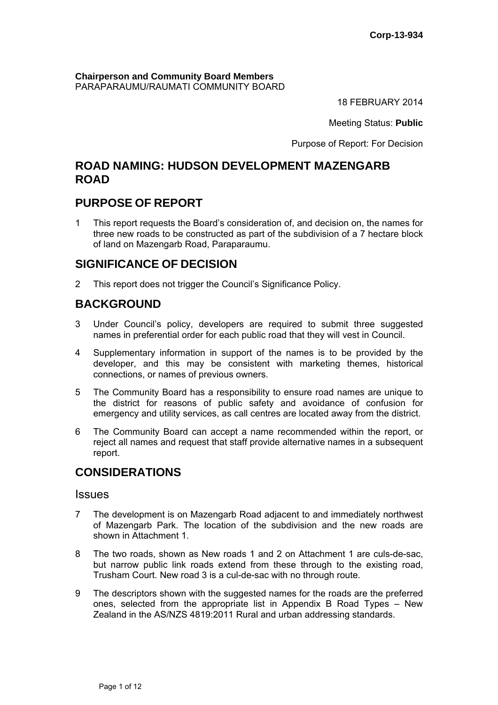**Chairperson and Community Board Members** PARAPARAUMU/RAUMATI COMMUNITY BOARD

18 FEBRUARY 2014

Meeting Status: **Public**

Purpose of Report: For Decision

## **ROAD NAMING: HUDSON DEVELOPMENT MAZENGARB ROAD**

## **PURPOSE OF REPORT**

1 This report requests the Board's consideration of, and decision on, the names for three new roads to be constructed as part of the subdivision of a 7 hectare block of land on Mazengarb Road, Paraparaumu.

## **SIGNIFICANCE OF DECISION**

2 This report does not trigger the Council's Significance Policy.

## **BACKGROUND**

- 3 Under Council's policy, developers are required to submit three suggested names in preferential order for each public road that they will vest in Council.
- 4 Supplementary information in support of the names is to be provided by the developer, and this may be consistent with marketing themes, historical connections, or names of previous owners.
- 5 The Community Board has a responsibility to ensure road names are unique to the district for reasons of public safety and avoidance of confusion for emergency and utility services, as call centres are located away from the district.
- 6 The Community Board can accept a name recommended within the report, or reject all names and request that staff provide alternative names in a subsequent report.

## **CONSIDERATIONS**

### Issues

- 7 The development is on Mazengarb Road adjacent to and immediately northwest of Mazengarb Park. The location of the subdivision and the new roads are shown in Attachment 1.
- 8 The two roads, shown as New roads 1 and 2 on Attachment 1 are culs-de-sac, but narrow public link roads extend from these through to the existing road, Trusham Court. New road 3 is a cul-de-sac with no through route.
- 9 The descriptors shown with the suggested names for the roads are the preferred ones, selected from the appropriate list in Appendix B Road Types – New Zealand in the AS/NZS 4819:2011 Rural and urban addressing standards.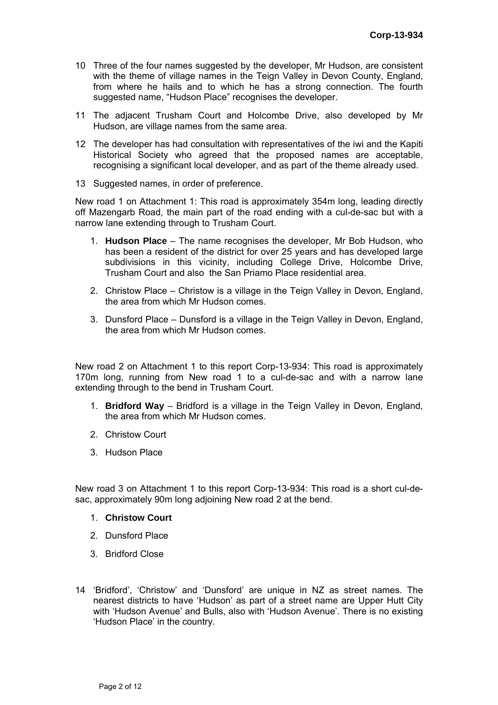- 10 Three of the four names suggested by the developer, Mr Hudson, are consistent with the theme of village names in the Teign Valley in Devon County, England, from where he hails and to which he has a strong connection. The fourth suggested name, "Hudson Place" recognises the developer.
- 11 The adjacent Trusham Court and Holcombe Drive, also developed by Mr Hudson, are village names from the same area.
- 12 The developer has had consultation with representatives of the iwi and the Kapiti Historical Society who agreed that the proposed names are acceptable, recognising a significant local developer, and as part of the theme already used.
- 13 Suggested names, in order of preference.

New road 1 on Attachment 1: This road is approximately 354m long, leading directly off Mazengarb Road, the main part of the road ending with a cul-de-sac but with a narrow lane extending through to Trusham Court.

- 1. **Hudson Place** The name recognises the developer, Mr Bob Hudson, who has been a resident of the district for over 25 years and has developed large subdivisions in this vicinity, including College Drive, Holcombe Drive, Trusham Court and also the San Priamo Place residential area.
- 2. Christow Place Christow is a village in the Teign Valley in Devon, England, the area from which Mr Hudson comes.
- 3. Dunsford Place Dunsford is a village in the Teign Valley in Devon, England, the area from which Mr Hudson comes.

New road 2 on Attachment 1 to this report Corp-13-934: This road is approximately 170m long, running from New road 1 to a cul-de-sac and with a narrow lane extending through to the bend in Trusham Court.

- 1. **Bridford Way**  Bridford is a village in the Teign Valley in Devon, England, the area from which Mr Hudson comes.
- 2. Christow Court
- 3. Hudson Place

New road 3 on Attachment 1 to this report Corp-13-934: This road is a short cul-desac, approximately 90m long adjoining New road 2 at the bend.

- 1. **Christow Court**
- 2. Dunsford Place
- 3. Bridford Close
- 14 'Bridford', 'Christow' and 'Dunsford' are unique in NZ as street names. The nearest districts to have 'Hudson' as part of a street name are Upper Hutt City with 'Hudson Avenue' and Bulls, also with 'Hudson Avenue'. There is no existing 'Hudson Place' in the country.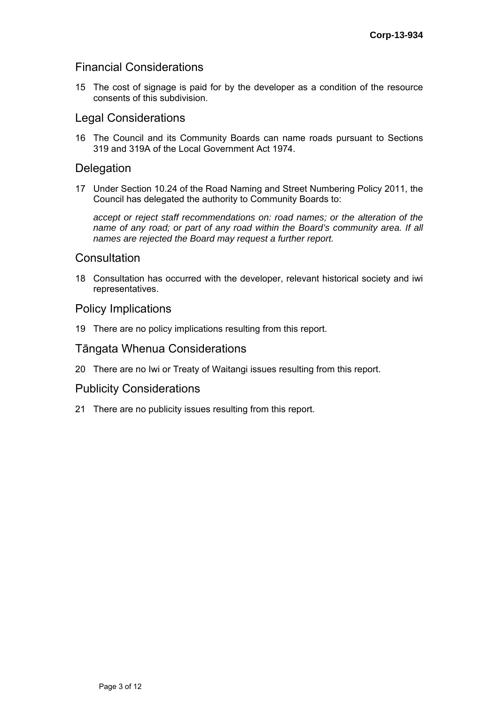## Financial Considerations

15 The cost of signage is paid for by the developer as a condition of the resource consents of this subdivision.

## Legal Considerations

16 The Council and its Community Boards can name roads pursuant to Sections 319 and 319A of the Local Government Act 1974.

## **Delegation**

17 Under Section 10.24 of the Road Naming and Street Numbering Policy 2011, the Council has delegated the authority to Community Boards to:

*accept or reject staff recommendations on: road names; or the alteration of the name of any road; or part of any road within the Board's community area. If all names are rejected the Board may request a further report.* 

## **Consultation**

18 Consultation has occurred with the developer, relevant historical society and iwi representatives.

## Policy Implications

19 There are no policy implications resulting from this report.

## Tāngata Whenua Considerations

20 There are no Iwi or Treaty of Waitangi issues resulting from this report.

## Publicity Considerations

21 There are no publicity issues resulting from this report.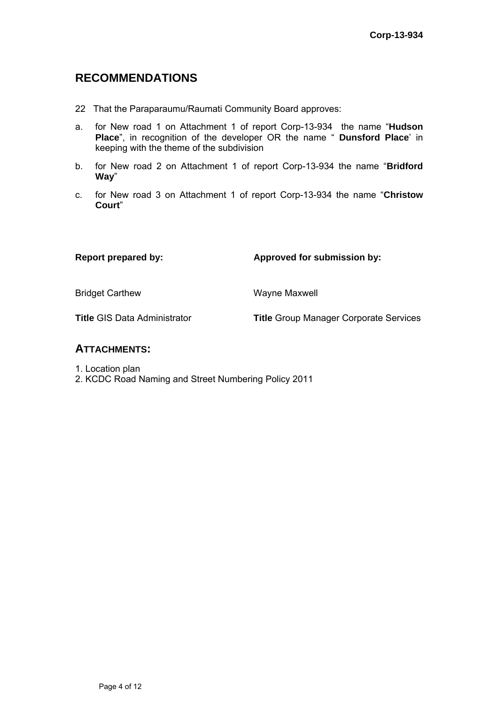## **RECOMMENDATIONS**

- 22 That the Paraparaumu/Raumati Community Board approves:
- a. for New road 1 on Attachment 1 of report Corp-13-934 the name "**Hudson Place**", in recognition of the developer OR the name " **Dunsford Place**' in keeping with the theme of the subdivision
- b. for New road 2 on Attachment 1 of report Corp-13-934 the name "**Bridford Way**"
- c. for New road 3 on Attachment 1 of report Corp-13-934 the name "**Christow Court**"

Report prepared by: **Approved for submission by:**  $\blacksquare$ 

Bridget Carthew Wayne Maxwell

**Title** GIS Data Administrator **Title** Group Manager Corporate Services

## **ATTACHMENTS:**

- 1. Location plan
- 2. KCDC Road Naming and Street Numbering Policy 2011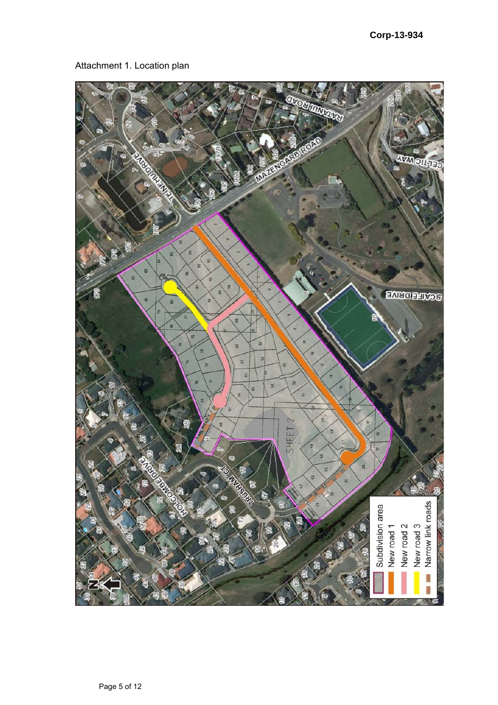## Attachment 1. Location plan

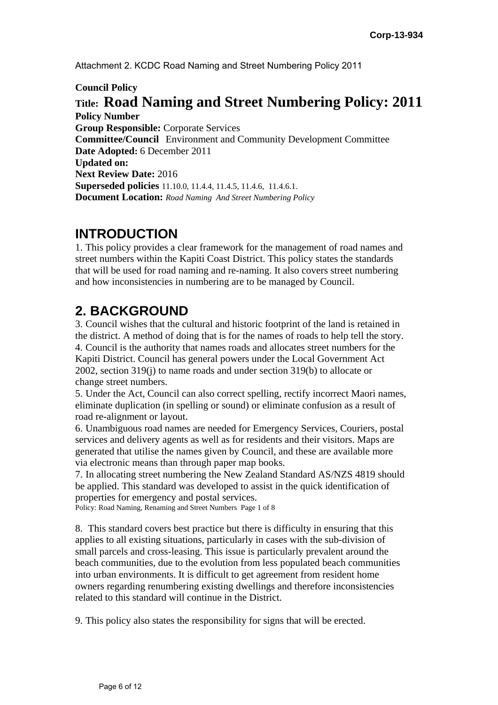Attachment 2. KCDC Road Naming and Street Numbering Policy 2011

**Council Policy** 

## **Title: Road Naming and Street Numbering Policy: 2011 Policy Number**

**Group Responsible:** Corporate Services **Committee/Council** Environment and Community Development Committee **Date Adopted:** 6 December 2011 **Updated on: Next Review Date:** 2016 **Superseded policies** 11.10.0, 11.4.4, 11.4.5, 11.4.6, 11.4.6.1. **Document Location:** *Road Naming And Street Numbering Policy* 

# **INTRODUCTION**

1. This policy provides a clear framework for the management of road names and street numbers within the Kapiti Coast District. This policy states the standards that will be used for road naming and re-naming. It also covers street numbering and how inconsistencies in numbering are to be managed by Council.

# **2. BACKGROUND**

3. Council wishes that the cultural and historic footprint of the land is retained in the district. A method of doing that is for the names of roads to help tell the story. 4. Council is the authority that names roads and allocates street numbers for the Kapiti District. Council has general powers under the Local Government Act 2002, section 319(j) to name roads and under section 319(b) to allocate or change street numbers.

5. Under the Act, Council can also correct spelling, rectify incorrect Maori names, eliminate duplication (in spelling or sound) or eliminate confusion as a result of road re-alignment or layout.

6. Unambiguous road names are needed for Emergency Services, Couriers, postal services and delivery agents as well as for residents and their visitors. Maps are generated that utilise the names given by Council, and these are available more via electronic means than through paper map books.

7. In allocating street numbering the New Zealand Standard AS/NZS 4819 should be applied. This standard was developed to assist in the quick identification of properties for emergency and postal services.

Policy: Road Naming, Renaming and Street Numbers Page 1 of 8

8. This standard covers best practice but there is difficulty in ensuring that this applies to all existing situations, particularly in cases with the sub-division of small parcels and cross-leasing. This issue is particularly prevalent around the beach communities, due to the evolution from less populated beach communities into urban environments. It is difficult to get agreement from resident home owners regarding renumbering existing dwellings and therefore inconsistencies related to this standard will continue in the District.

9. This policy also states the responsibility for signs that will be erected.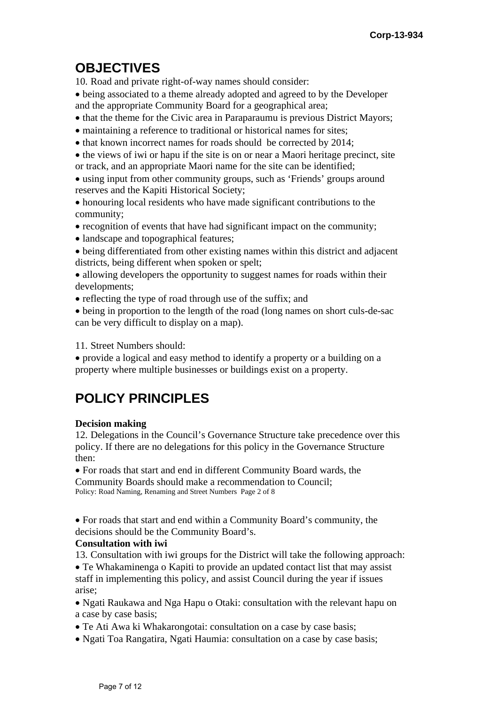# **OBJECTIVES**

10. Road and private right-of-way names should consider:

 being associated to a theme already adopted and agreed to by the Developer and the appropriate Community Board for a geographical area;

- that the theme for the Civic area in Paraparaumu is previous District Mayors;
- maintaining a reference to traditional or historical names for sites;
- that known incorrect names for roads should be corrected by 2014;

 the views of iwi or hapu if the site is on or near a Maori heritage precinct, site or track, and an appropriate Maori name for the site can be identified;

 using input from other community groups, such as 'Friends' groups around reserves and the Kapiti Historical Society;

 honouring local residents who have made significant contributions to the community;

- recognition of events that have had significant impact on the community;
- landscape and topographical features;
- being differentiated from other existing names within this district and adjacent districts, being different when spoken or spelt;
- allowing developers the opportunity to suggest names for roads within their developments;
- reflecting the type of road through use of the suffix; and

 being in proportion to the length of the road (long names on short culs-de-sac can be very difficult to display on a map).

11. Street Numbers should:

 provide a logical and easy method to identify a property or a building on a property where multiple businesses or buildings exist on a property.

# **POLICY PRINCIPLES**

## **Decision making**

12. Delegations in the Council's Governance Structure take precedence over this policy. If there are no delegations for this policy in the Governance Structure then:

 For roads that start and end in different Community Board wards, the Community Boards should make a recommendation to Council; Policy: Road Naming, Renaming and Street Numbers Page 2 of 8

 For roads that start and end within a Community Board's community, the decisions should be the Community Board's.

## **Consultation with iwi**

13. Consultation with iwi groups for the District will take the following approach:

 Te Whakaminenga o Kapiti to provide an updated contact list that may assist staff in implementing this policy, and assist Council during the year if issues arise;

• Ngati Raukawa and Nga Hapu o Otaki: consultation with the relevant hapu on a case by case basis;

- Te Ati Awa ki Whakarongotai: consultation on a case by case basis;
- Ngati Toa Rangatira, Ngati Haumia: consultation on a case by case basis;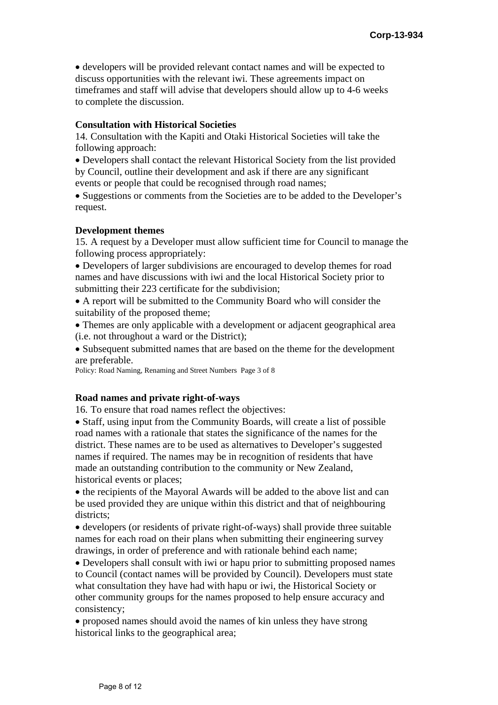developers will be provided relevant contact names and will be expected to discuss opportunities with the relevant iwi. These agreements impact on timeframes and staff will advise that developers should allow up to 4-6 weeks to complete the discussion.

### **Consultation with Historical Societies**

14. Consultation with the Kapiti and Otaki Historical Societies will take the following approach:

 Developers shall contact the relevant Historical Society from the list provided by Council, outline their development and ask if there are any significant events or people that could be recognised through road names;

• Suggestions or comments from the Societies are to be added to the Developer's request.

### **Development themes**

15. A request by a Developer must allow sufficient time for Council to manage the following process appropriately:

 Developers of larger subdivisions are encouraged to develop themes for road names and have discussions with iwi and the local Historical Society prior to submitting their 223 certificate for the subdivision;

 A report will be submitted to the Community Board who will consider the suitability of the proposed theme;

• Themes are only applicable with a development or adjacent geographical area (i.e. not throughout a ward or the District);

 Subsequent submitted names that are based on the theme for the development are preferable.

Policy: Road Naming, Renaming and Street Numbers Page 3 of 8

### **Road names and private right-of-ways**

16. To ensure that road names reflect the objectives:

• Staff, using input from the Community Boards, will create a list of possible road names with a rationale that states the significance of the names for the district. These names are to be used as alternatives to Developer's suggested names if required. The names may be in recognition of residents that have made an outstanding contribution to the community or New Zealand, historical events or places;

• the recipients of the Mayoral Awards will be added to the above list and can be used provided they are unique within this district and that of neighbouring districts;

 developers (or residents of private right-of-ways) shall provide three suitable names for each road on their plans when submitting their engineering survey drawings, in order of preference and with rationale behind each name;

 Developers shall consult with iwi or hapu prior to submitting proposed names to Council (contact names will be provided by Council). Developers must state what consultation they have had with hapu or iwi, the Historical Society or other community groups for the names proposed to help ensure accuracy and consistency;

 proposed names should avoid the names of kin unless they have strong historical links to the geographical area;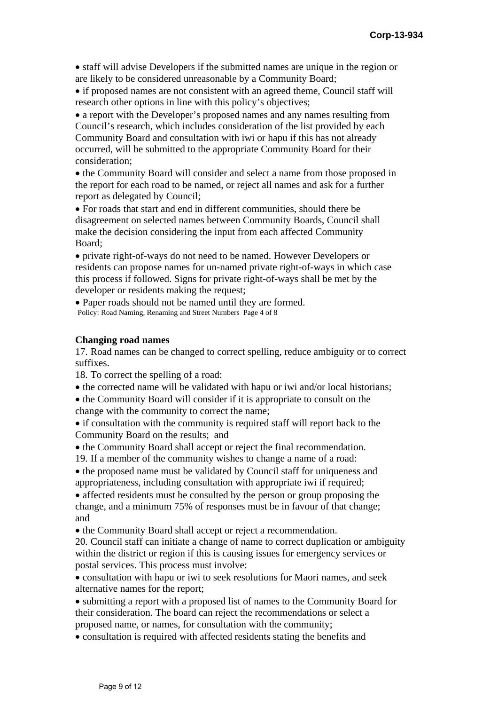staff will advise Developers if the submitted names are unique in the region or are likely to be considered unreasonable by a Community Board;

• if proposed names are not consistent with an agreed theme, Council staff will research other options in line with this policy's objectives;

• a report with the Developer's proposed names and any names resulting from Council's research, which includes consideration of the list provided by each Community Board and consultation with iwi or hapu if this has not already occurred, will be submitted to the appropriate Community Board for their consideration;

• the Community Board will consider and select a name from those proposed in the report for each road to be named, or reject all names and ask for a further report as delegated by Council;

 For roads that start and end in different communities, should there be disagreement on selected names between Community Boards, Council shall make the decision considering the input from each affected Community Board;

 private right-of-ways do not need to be named. However Developers or residents can propose names for un-named private right-of-ways in which case this process if followed. Signs for private right-of-ways shall be met by the developer or residents making the request;

 Paper roads should not be named until they are formed. Policy: Road Naming, Renaming and Street Numbers Page 4 of 8

### **Changing road names**

17. Road names can be changed to correct spelling, reduce ambiguity or to correct suffixes.

18. To correct the spelling of a road:

- the corrected name will be validated with hapu or iwi and/or local historians;
- the Community Board will consider if it is appropriate to consult on the change with the community to correct the name;
- if consultation with the community is required staff will report back to the Community Board on the results; and
- the Community Board shall accept or reject the final recommendation.
- 19. If a member of the community wishes to change a name of a road:
- the proposed name must be validated by Council staff for uniqueness and appropriateness, including consultation with appropriate iwi if required;

 affected residents must be consulted by the person or group proposing the change, and a minimum 75% of responses must be in favour of that change; and

• the Community Board shall accept or reject a recommendation.

20. Council staff can initiate a change of name to correct duplication or ambiguity within the district or region if this is causing issues for emergency services or postal services. This process must involve:

• consultation with hapu or iwi to seek resolutions for Maori names, and seek alternative names for the report;

 submitting a report with a proposed list of names to the Community Board for their consideration. The board can reject the recommendations or select a proposed name, or names, for consultation with the community;

• consultation is required with affected residents stating the benefits and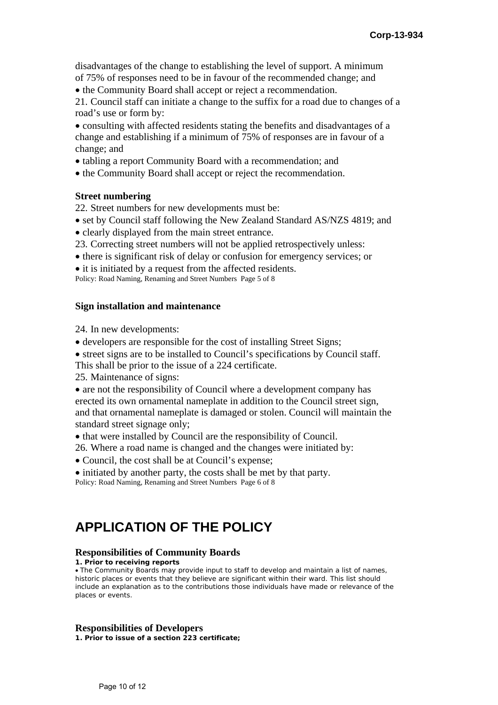disadvantages of the change to establishing the level of support. A minimum of 75% of responses need to be in favour of the recommended change; and

• the Community Board shall accept or reject a recommendation.

21. Council staff can initiate a change to the suffix for a road due to changes of a road's use or form by:

 consulting with affected residents stating the benefits and disadvantages of a change and establishing if a minimum of 75% of responses are in favour of a change; and

- tabling a report Community Board with a recommendation; and
- the Community Board shall accept or reject the recommendation.

### **Street numbering**

22. Street numbers for new developments must be:

- set by Council staff following the New Zealand Standard AS/NZS 4819; and
- clearly displayed from the main street entrance.
- 23. Correcting street numbers will not be applied retrospectively unless:
- there is significant risk of delay or confusion for emergency services; or
- it is initiated by a request from the affected residents.

Policy: Road Naming, Renaming and Street Numbers Page 5 of 8

#### **Sign installation and maintenance**

24. In new developments:

- developers are responsible for the cost of installing Street Signs;
- street signs are to be installed to Council's specifications by Council staff.

This shall be prior to the issue of a 224 certificate.

25. Maintenance of signs:

• are not the responsibility of Council where a development company has erected its own ornamental nameplate in addition to the Council street sign, and that ornamental nameplate is damaged or stolen. Council will maintain the standard street signage only;

- that were installed by Council are the responsibility of Council.
- 26. Where a road name is changed and the changes were initiated by:
- Council, the cost shall be at Council's expense:
- initiated by another party, the costs shall be met by that party.

Policy: Road Naming, Renaming and Street Numbers Page 6 of 8

## **APPLICATION OF THE POLICY**

#### **Responsibilities of Community Boards**

**1. Prior to receiving reports**

 The Community Boards may provide input to staff to develop and maintain a list of names, historic places or events that they believe are significant within their ward. This list should include an explanation as to the contributions those individuals have made or relevance of the places or events.

#### **Responsibilities of Developers**

**1. Prior to issue of a section 223 certificate;**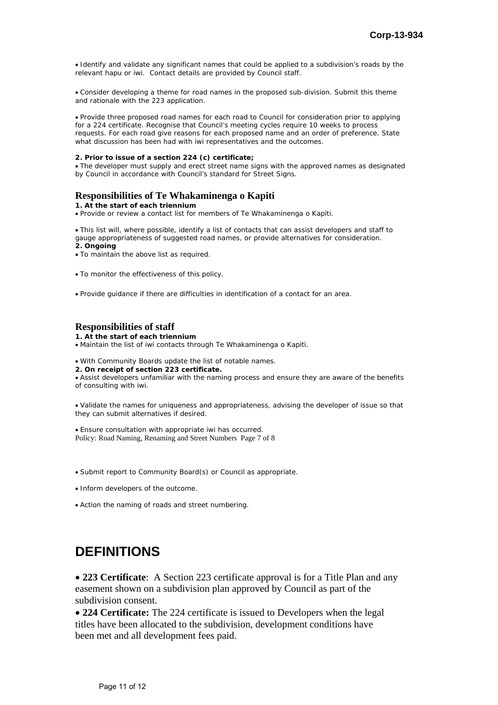Identify and validate any significant names that could be applied to a subdivision's roads by the relevant hapu or iwi. Contact details are provided by Council staff.

 Consider developing a theme for road names in the proposed sub-division. Submit this theme and rationale with the 223 application.

 Provide three proposed road names for each road to Council for consideration prior to applying for a 224 certificate. Recognise that Council's meeting cycles require 10 weeks to process requests. For each road give reasons for each proposed name and an order of preference. State what discussion has been had with iwi representatives and the outcomes.

#### **2. Prior to issue of a section 224 (c) certificate;**

 The developer must supply and erect street name signs with the approved names as designated by Council in accordance with Council's standard for Street Signs.

### **Responsibilities of Te Whakaminenga o Kapiti**

#### **1. At the start of each triennium**

Provide or review a contact list for members of Te Whakaminenga o Kapiti.

 This list will, where possible, identify a list of contacts that can assist developers and staff to gauge appropriateness of suggested road names, or provide alternatives for consideration.

**2. Ongoing**

- To maintain the above list as required.
- To monitor the effectiveness of this policy.

Provide guidance if there are difficulties in identification of a contact for an area.

### **Responsibilities of staff**

**1. At the start of each triennium** 

Maintain the list of iwi contacts through Te Whakaminenga o Kapiti.

With Community Boards update the list of notable names.

**2. On receipt of section 223 certificate.**

 Assist developers unfamiliar with the naming process and ensure they are aware of the benefits of consulting with iwi.

 Validate the names for uniqueness and appropriateness, advising the developer of issue so that they can submit alternatives if desired.

 Ensure consultation with appropriate iwi has occurred. Policy: Road Naming, Renaming and Street Numbers Page 7 of 8

Submit report to Community Board(s) or Council as appropriate.

- Inform developers of the outcome.
- Action the naming of roads and street numbering.

# **DEFINITIONS**

 **223 Certificate**: A Section 223 certificate approval is for a Title Plan and any easement shown on a subdivision plan approved by Council as part of the subdivision consent.

 **224 Certificate:** The 224 certificate is issued to Developers when the legal titles have been allocated to the subdivision, development conditions have been met and all development fees paid.